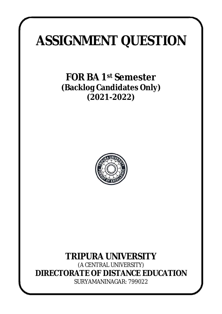# **ASSIGNMENT QUESTION**

**FOR BA 1st Semester (Backlog Candidates Only) (2021-2022)**



# **TRIPURA UNIVERSITY**

*(A CENTRAL UNIVERSITY)* **DIRECTORATE OF DISTANCE EDUCATION** SURYAMANINAGAR: 799022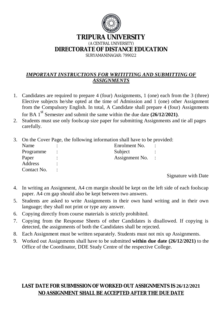

# **TRIPURA UNIVERSITY**

*(A CENTRAL UNIVERSITY)*

**DIRECTORATE OF DISTANCE EDUCATION**

SURYAMANINAGAR: 799022

# *IMPORTANT INSTRUCTIONS FOR WRITITTING AND SUBMITTING OF ASSIGNMENTS*

- 1. Candidates are required to prepare 4 (four) Assignments, 1 (one) each from the 3 (three) Elective subjects he/she opted at the time of Admission and 1 (one) other Assignment from the Compulsory English. In total, A Candidate shall prepare 4 (four) Assignments for BA  $1<sup>st</sup>$  Semester and submit the same within the due date  $(26/12/2021)$ .
- 2. Students must use only foolscap size paper for submitting Assignments and tie all pages carefully.
- 3. On the Cover Page, the following information shall have to be provided:

| Name        | Enrolment No.  |  |
|-------------|----------------|--|
| Programme   | Subject        |  |
| Paper       | Assignment No. |  |
| Address     |                |  |
| Contact No. |                |  |
|             |                |  |

Signature with Date

- 4. In writing an Assignment, A4 cm margin should be kept on the left side of each foolscap paper. A4 cm gap should also be kept between two answers.
- 5. Students are asked to write Assignments in their own hand writing and in their own language; they shall not print or type any answer.
- 6. Copying directly from course materials is strictly prohibited.
- 7. Copying from the Response Sheets of other Candidates is disallowed. If copying is detected, the assignments of both the Candidates shall be rejected.
- 8. Each Assignment must be written separately. Students must not mix up Assignments.
- 9. Worked out Assignments shall have to be submitted **within due date (26/12/2021)** to the Office of the Coordinator, DDE Study Centre of the respective College.

# **LAST DATE FOR SUBMISSION OF WORKED OUT ASSIGNMENTS IS 26/12/2021 NO ASSIGNMENT SHALL BE ACCEPTED AFTER THE DUE DATE**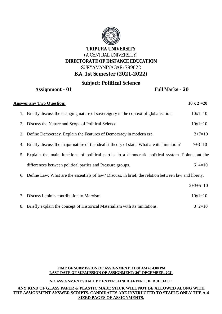

# **Subject: Political Science**

## **Assignment – 01 Full Marks – 20**

| <b>Answer any Two Question:</b> |                                                                                                      |            |
|---------------------------------|------------------------------------------------------------------------------------------------------|------------|
|                                 | 1. Briefly discuss the changing nature of sovereignty in the context of globalisation.               | $10x1=10$  |
|                                 | 2. Discuss the Nature and Scope of Political Science.                                                | $10x1=10$  |
|                                 | 3. Define Democracy. Explain the Features of Democracy in modern era.                                | $3+7=10$   |
| 4.                              | Briefly discuss the major nature of the idealist theory of state. What are its limitation?           | $7+3=10$   |
|                                 | 5. Explain the main functions of political parties in a democratic political system. Points out the  |            |
|                                 | differences between political parties and Pressure groups.                                           | $6+4=10$   |
| 6.                              | Define Law. What are the essentials of law? Discuss, in brief, the relation between law and liberty. |            |
|                                 |                                                                                                      | $2+3+5=10$ |
| 7.                              | Discuss Lenin's contribution to Marxism.                                                             | $10x1=10$  |
| 8.                              | Briefly explain the concept of Historical Materialism with its limitations.                          | $8+2=10$   |

#### **TIME OF SUBMISSION OF ASSIGNMENT: 11.00 AM to 4.00 PM LAST DATE OF SUBMISSION OF ASSIGNMENT: 26th DECEMBER, 2021**

#### **NO ASSIGNMENT SHALL BE ENTERTAINED AFTER THE DUE DATE.**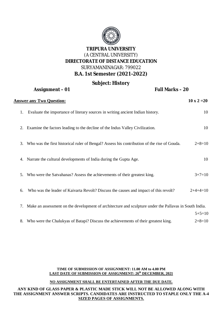

#### **Subject: History Assignment – 01 Full Marks – 20**

|    | H                                                                                                      | I UII IVIAI NJ T ZU |
|----|--------------------------------------------------------------------------------------------------------|---------------------|
|    | <b>Answer any Two Question:</b>                                                                        | $10 \times 2 = 20$  |
| 1. | Evaluate the importance of literary sources in writing ancient Indian history.                         | 10                  |
| 2. | Examine the factors leading to the decline of the Indus Valley Civilization.                           | 10                  |
|    | 3. Who was the first historical ruler of Bengal? Assess his contribution of the rise of Gouda.         | $2+8=10$            |
|    | 4. Narrate the cultural developments of India during the Gupta Age.                                    | 10                  |
| 5. | Who were the Satvahanas? Assess the achievements of their greatest king.                               | $3+7=10$            |
| 6. | Who was the leader of Kaivarta Revolt? Discuss the causes and impact of this revolt?                   | $2+4+4=10$          |
| 7. | Make an assessment on the development of architecture and sculpture under the Pallavas in South India. |                     |
|    |                                                                                                        | $5+5=10$            |
|    | 8. Who were the Chalukyas of Batapi? Discuss the achievements of their greatest king.                  | $2+8=10$            |

#### **TIME OF SUBMISSION OF ASSIGNMENT: 11.00 AM to 4.00 PM LAST DATE OF SUBMISSION OF ASSIGNMENT: 26th DECEMBER, 2021**

#### **NO ASSIGNMENT SHALL BE ENTERTAINED AFTER THE DUE DATE.**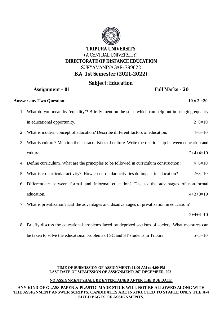

# **Subject: Education**

# **Assignment – 01 Full Marks – 20**

### **Answer any Two Question:** 10 x 2 = 20

- 1. What do you mean by 'equality'? Briefly mention the steps which can help out in bringing equality in educational opportunity.  $2+8=10$
- 2. What is modern concept of education? Describe different factors of education. 4+6=10
- 3. What is culture? Mention the characteristics of culture. Write the relationship between education and culture.  $2+4+4=10$
- 4. Define curriculum. What are the principles to be followed in curriculum construction?  $4+6=10$
- 5. What is co-curricular activity? How co-curricular activities do impact in education?  $2+8=10$
- 6. Differentiate between formal and informal education? Discuss the advantages of non-formal education.  $4+3+3=10$
- 7. What is privatization? List the advantages and disadvantages of privatization in education?

 $2+4+4=10$ 

8. Briefly discuss the educational problems faced by deprived sections of society. What measures can be taken to solve the educational problems of SC and ST students in Tripura.  $5+5=10$ 

#### **TIME OF SUBMISSION OF ASSIGNMENT: 11.00 AM to 4.00 PM LAST DATE OF SUBMISSION OF ASSIGNMENT: 26th DECEMBER, 2021**

### **NO ASSIGNMENT SHALL BE ENTERTAINED AFTER THE DUE DATE.**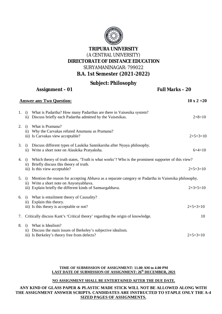

# **Subject: Philosophy**

| <b>Assignment - 01</b> |                                                                                                                                                                                                                                                     | Full Marks-20      |  |
|------------------------|-----------------------------------------------------------------------------------------------------------------------------------------------------------------------------------------------------------------------------------------------------|--------------------|--|
|                        | <b>Answer any Two Question:</b>                                                                                                                                                                                                                     | $10 \times 2 = 20$ |  |
|                        | 1. i) What is Padartha? How many Padarthas are there in Vaisesika system?<br>ii) Discuss briefly each Padartha admitted by the Vaisesikas.                                                                                                          | $2+8=10$           |  |
|                        | 2. i) What is Pramana?<br>ii) Why the Carvakas refuted Anumana as Pramana?<br>iii) Is Carvakas view acceptable?                                                                                                                                     | $2+5+3=10$         |  |
|                        | 3. i) Discuss different types of Laukika Sannikarsha after Nyaya philosophy.<br>ii) Write a short note on Alaukika Pratyaksha.                                                                                                                      | $6+4=10$           |  |
|                        | 4. i) Which theory of truth states, 'Truth is what works'? Who is the prominent supporter of this view?<br>ii) Briefly discuss this theory of truth.                                                                                                | $2+5+3=10$         |  |
|                        | iii) Is this view acceptable?<br>5. i) Mention the reason for accepting Abhava as a separate category or Padartha in Vaisesika philosophy.<br>ii) Write a short note on Anyonyabhava.<br>iii) Explain briefly the different kinds of Samsargabhava. | $2+3+5=10$         |  |
|                        | 6. i) What is entailment theory of Causality?<br>ii) Explain this theory.<br>iii) Is this theory is acceptable or not?                                                                                                                              | $2+5+3=10$         |  |
| 7.                     | Critically discuss Kant's 'Critical theory' regarding the origin of knowledge.                                                                                                                                                                      | 10                 |  |
|                        | 8. i) What is Idealism?<br>ii) Discuss the main issues of Berkeley's subjective idealism.<br>iii) Is Berkeley's theory free from defects?                                                                                                           | $2+5+3=10$         |  |

#### **TIME OF SUBMISSION OF ASSIGNMENT: 11.00 AM to 4.00 PM LAST DATE OF SUBMISSION OF ASSIGNMENT: 26th DECEMBER, 2021**

#### **NO ASSIGNMENT SHALL BE ENTERTAINED AFTER THE DUE DATE.**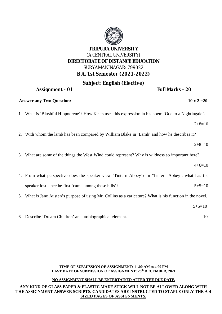# **Subject: English (Elective)**

### **Assignment – 01 Full Marks – 20**

#### **Answer any Two Question:** 10 x 2 = 20

1. What is 'Blushful Hippocrene'? How Keats uses this expression in his poem 'Ode to a Nightingale'.

 $2+8=10$ 

2. With whom the lamb has been compared by William Blake in 'Lamb' and how he describes it?

 $2+8=10$ 

3. What are some of the things the West Wind could represent? Why is wildness so important here?

 $4+6=10$ 

- 4. From what perspective does the speaker view 'Tintern Abbey'? In 'Tintern Abbey', what has the speaker lost since he first 'came among these hills'?  $5+5=10$
- 5. What is Jane Austen's purpose of using Mr. Collins as a caricature? What is his function in the novel.
- 6. Describe 'Dream Children' an autobiographical element. 10

#### **TIME OF SUBMISSION OF ASSIGNMENT: 11.00 AM to 4.00 PM LAST DATE OF SUBMISSION OF ASSIGNMENT: 26th DECEMBER, 2021**

#### **NO ASSIGNMENT SHALL BE ENTERTAINED AFTER THE DUE DATE.**

#### **ANY KIND OF GLASS PAPER & PLASTIC MADE STICK WILL NOT BE ALLOWED ALONG WITH THE ASSIGNMENT ANSWER SCRIPTS. CANDIDATES ARE INSTRUCTED TO STAPLE ONLY THE A-4 SIZED PAGES OF ASSIGNMENTS.**



 $5+5=10$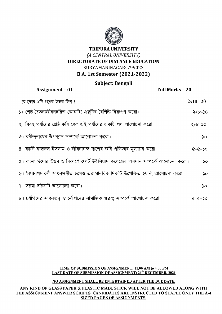

# Subject: Bengali

| <b>Assignment - 01</b>                                                          | <b>Full Marks - 20</b>    |
|---------------------------------------------------------------------------------|---------------------------|
| যে কোন ২টি প্রশ্নের উত্তর লিখ ঃ                                                 | $2x10=20$                 |
| ১। শ্রেষ্ঠ চৈতন্যজীবনচরিত কোনটি? গ্রন্থটির বৈশিষ্ট্য নিরুপণ করো।                | $\zeta$ +b= $\zeta$ 0     |
| ২। বিরহ পর্যায়ের শ্রেষ্ঠ কবি কে? এই পর্যায়ের একটি পদ আলোচনা করো।              | ২+৮=১০                    |
| ৩। রবীন্দ্রনাথের উপন্যাস সম্পর্কে আলোচনা করো।                                   | ১০                        |
| ৪। কাজী নজরুল ইসলাম ও জীবনানন্দ দাশের কবি প্রতিভার মূল্যায়ন করো।               | $Q = 2 + 2$               |
| ৫। বাংলা গদ্যের উদ্ভব ও বিকাশে ফোর্ট উইলিয়াম কলেজের অবদান সম্পর্কে আলোচনা করো। | ১০                        |
| ৬। বৈষ্ণবপদাবলী সাধনসঙ্গীত হলেও এর মানবিক দিকটি উপেক্ষিত হয়নি, আলোচনা করো।     | $\mathsf{S}^{\mathsf{O}}$ |
| $\,$ ৭। সরমা চরিত্রটি আলোচনা করো।                                               | ১০                        |
| '৮। চর্যাপদের সাধনতত্ত্ব ও চর্যাপদের সামাজিক গুরুত্ব সম্পর্কে আলোচনা করো।       | $Q = 2 + 2$               |

#### TIME OF SUBMISSION OF ASSIGNMENT: 11.00 AM to 4.00 PM LAST DATE OF SUBMISSION OF ASSIGNMENT: 26<sup>th</sup> DECEMBER, 2021

### NO ASSIGNMENT SHALL BE ENTERTAINED AFTER THE DUE DATE.